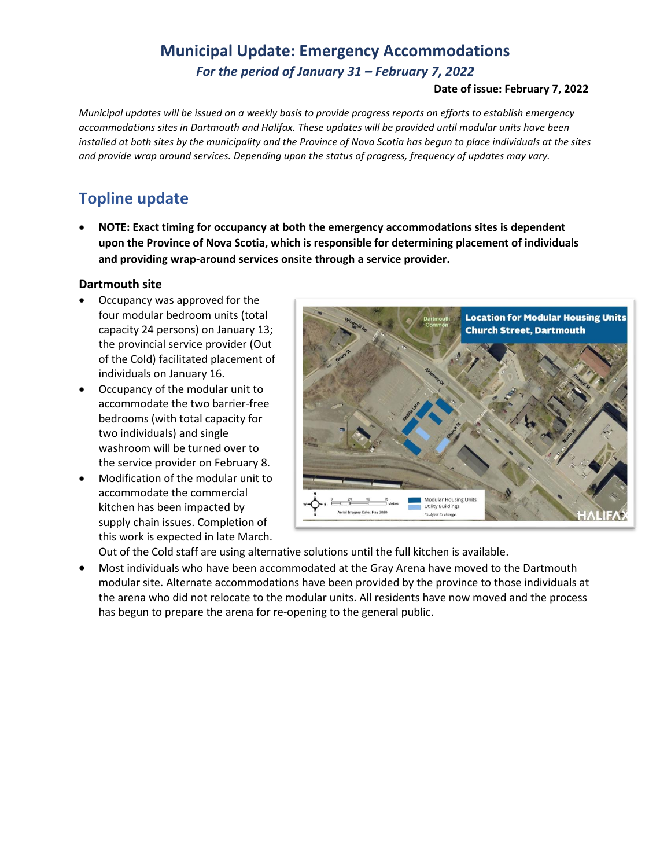# **Municipal Update: Emergency Accommodations**

*For the period of January 31 – February 7, 2022*

#### **Date of issue: February 7, 2022**

*Municipal updates will be issued on a weekly basis to provide progress reports on efforts to establish emergency accommodations sites in Dartmouth and Halifax. These updates will be provided until modular units have been installed at both sites by the municipality and the Province of Nova Scotia has begun to place individuals at the sites and provide wrap around services. Depending upon the status of progress, frequency of updates may vary.* 

### **Topline update**

• **NOTE: Exact timing for occupancy at both the emergency accommodations sites is dependent upon the Province of Nova Scotia, which is responsible for determining placement of individuals and providing wrap-around services onsite through a service provider.**

#### **Dartmouth site**

- Occupancy was approved for the four modular bedroom units (total capacity 24 persons) on January 13; the provincial service provider (Out of the Cold) facilitated placement of individuals on January 16.
- Occupancy of the modular unit to accommodate the two barrier-free bedrooms (with total capacity for two individuals) and single washroom will be turned over to the service provider on February 8.
- Modification of the modular unit to accommodate the commercial kitchen has been impacted by supply chain issues. Completion of this work is expected in late March.



Out of the Cold staff are using alternative solutions until the full kitchen is available.

• Most individuals who have been accommodated at the Gray Arena have moved to the Dartmouth modular site. Alternate accommodations have been provided by the province to those individuals at the arena who did not relocate to the modular units. All residents have now moved and the process has begun to prepare the arena for re-opening to the general public.